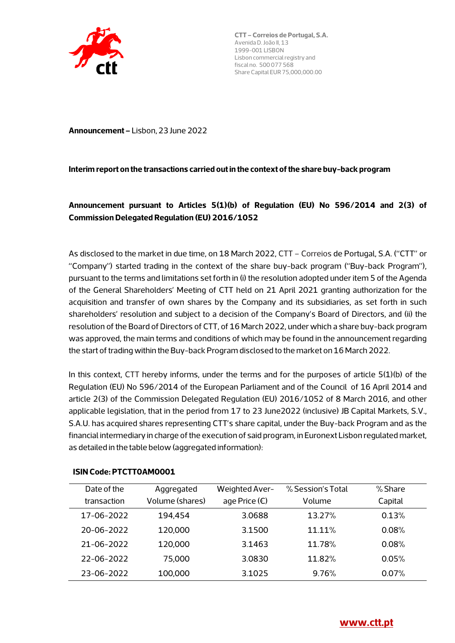

**Announcement –** Lisbon, 23 June 2022

#### **Interim report on the transactions carried out in the context of the share buy-back program**

# **Announcement pursuant to Articles 5(1)(b) of Regulation (EU) No 596/2014 and 2(3) of Commission Delegated Regulation (EU) 2016/1052**

As disclosed to the market in due time, on 18 March 2022, CTT – Correios de Portugal, S.A. ("CTT" or "Company") started trading in the context of the share buy-back program ("Buy-back Program"), pursuant to the terms and limitations set forth in (i) the resolution adopted under item 5 of the Agenda of the General Shareholders' Meeting of CTT held on 21 April 2021 granting authorization for the acquisition and transfer of own shares by the Company and its subsidiaries, as set forth in such shareholders' resolution and subject to a decision of the Company's Board of Directors, and (ii) the resolution of the Board of Directors of CTT, of 16 March 2022, under which a share buy-back program was approved, the main terms and conditions of which may be found in the announcement regarding the start of trading within the Buy-back Program disclosed to the market on 16 March 2022.

In this context, CTT hereby informs, under the terms and for the purposes of article 5(1)(b) of the Regulation (EU) No 596/2014 of the European Parliament and of the Council of 16 April 2014 and article 2(3) of the Commission Delegated Regulation (EU) 2016/1052 of 8 March 2016, and other applicable legislation, that in the period from 17 to 23 June2022 (inclusive) JB Capital Markets, S.V., S.A.U. has acquired shares representing CTT's share capital, under the Buy-back Program and as the financial intermediary in charge of the execution of said program, in Euronext Lisbon regulated market, as detailed in the table below (aggregated information):

| Date of the<br>transaction | Aggregated<br>Volume (shares) | Weighted Aver-<br>age Price $(\epsilon)$ | % Session's Total<br>Volume | % Share<br>Capital |
|----------------------------|-------------------------------|------------------------------------------|-----------------------------|--------------------|
| 17-06-2022                 | 194,454                       | 3.0688                                   | 13.27%                      | 0.13%              |
| 20-06-2022                 | 120,000                       | 3.1500                                   | $11.11\%$                   | 0.08%              |
| $21 - 06 - 2022$           | 120,000                       | 3.1463                                   | 11.78%                      | 0.08%              |
| 22-06-2022                 | 75,000                        | 3.0830                                   | 11.82%                      | 0.05%              |
| 23-06-2022                 | 100,000                       | 3.1025                                   | 9.76%                       | 0.07%              |

#### **ISIN Code: PTCTT0AM0001**

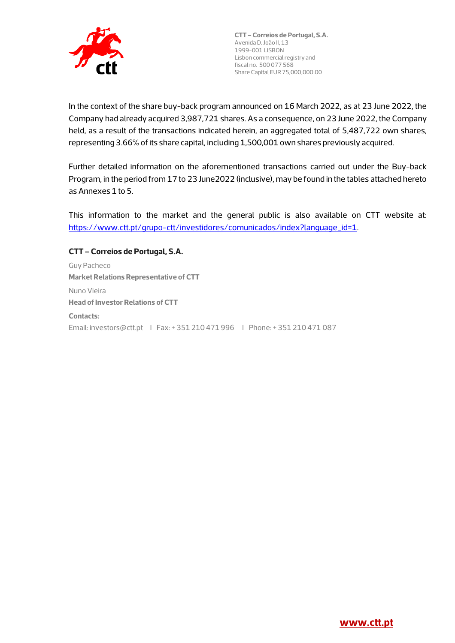

In the context of the share buy-back program announced on 16 March 2022, as at 23 June 2022, the Company had already acquired 3,987,721 shares. As a consequence, on 23 June 2022, the Company held, as a result of the transactions indicated herein, an aggregated total of 5,487,722 own shares, representing 3.66% of its share capital, including 1,500,001 own shares previously acquired.

Further detailed information on the aforementioned transactions carried out under the Buy-back Program, in the period from 17 to 23 June2022 (inclusive), may be found in the tables attached hereto as Annexes 1 to 5.

This information to the market and the general public is also available on CTT website at: https://www.ctt.pt/grupo-ctt/investidores/comunicados/index?language\_id=1.

#### **CTT – Correios de Portugal, S.A.**

Guy Pacheco **Market Relations Representative of CTT**  Nuno Vieira **Head of Investor Relations of CTT Contacts:**  Email: investors@ctt.pt I Fax: + 351 210 471 996 I Phone: + 351 210 471 087

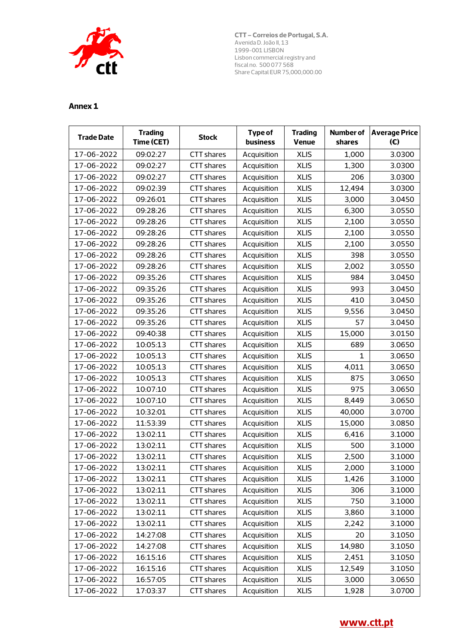

| <b>Trade Date</b> | <b>Trading</b><br>Time (CET) | <b>Stock</b>      | <b>Type of</b><br>business | <b>Trading</b><br>Venue | <b>Number of</b><br>shares | <b>Average Price</b><br>(E) |
|-------------------|------------------------------|-------------------|----------------------------|-------------------------|----------------------------|-----------------------------|
| 17-06-2022        | 09:02:27                     | <b>CTT</b> shares | Acquisition                | <b>XLIS</b>             | 1,000                      | 3.0300                      |
| 17-06-2022        | 09:02:27                     | CTT shares        | Acquisition                | <b>XLIS</b>             | 1,300                      | 3.0300                      |
| 17-06-2022        | 09:02:27                     | <b>CTT</b> shares | Acquisition                | <b>XLIS</b>             | 206                        | 3.0300                      |
| 17-06-2022        | 09:02:39                     | CTT shares        | Acquisition                | <b>XLIS</b>             | 12,494                     | 3.0300                      |
| 17-06-2022        | 09:26:01                     | CTT shares        | Acquisition                | <b>XLIS</b>             | 3,000                      | 3.0450                      |
| 17-06-2022        | 09:28:26                     | CTT shares        | Acquisition                | <b>XLIS</b>             | 6,300                      | 3.0550                      |
| 17-06-2022        | 09:28:26                     | <b>CTT</b> shares | Acquisition                | <b>XLIS</b>             | 2,100                      | 3.0550                      |
| 17-06-2022        | 09:28:26                     | <b>CTT</b> shares | Acquisition                | <b>XLIS</b>             | 2,100                      | 3.0550                      |
| 17-06-2022        | 09:28:26                     | CTT shares        | Acquisition                | <b>XLIS</b>             | 2,100                      | 3.0550                      |
| 17-06-2022        | 09:28:26                     | CTT shares        | Acquisition                | <b>XLIS</b>             | 398                        | 3.0550                      |
| 17-06-2022        | 09:28:26                     | CTT shares        | Acquisition                | <b>XLIS</b>             | 2,002                      | 3.0550                      |
| 17-06-2022        | 09:35:26                     | CTT shares        | Acquisition                | <b>XLIS</b>             | 984                        | 3.0450                      |
| 17-06-2022        | 09:35:26                     | CTT shares        | Acquisition                | <b>XLIS</b>             | 993                        | 3.0450                      |
| 17-06-2022        | 09:35:26                     | <b>CTT</b> shares | Acquisition                | <b>XLIS</b>             | 410                        | 3.0450                      |
| 17-06-2022        | 09:35:26                     | CTT shares        | Acquisition                | <b>XLIS</b>             | 9,556                      | 3.0450                      |
| 17-06-2022        | 09:35:26                     | CTT shares        | Acquisition                | <b>XLIS</b>             | 57                         | 3.0450                      |
| 17-06-2022        | 09:40:38                     | CTT shares        | Acquisition                | <b>XLIS</b>             | 15,000                     | 3.0150                      |
| 17-06-2022        | 10:05:13                     | CTT shares        | Acquisition                | <b>XLIS</b>             | 689                        | 3.0650                      |
| 17-06-2022        | 10:05:13                     | CTT shares        | Acquisition                | <b>XLIS</b>             | 1                          | 3.0650                      |
| 17-06-2022        | 10:05:13                     | CTT shares        | Acquisition                | <b>XLIS</b>             | 4,011                      | 3.0650                      |
| 17-06-2022        | 10:05:13                     | CTT shares        | Acquisition                | <b>XLIS</b>             | 875                        | 3.0650                      |
| 17-06-2022        | 10:07:10                     | CTT shares        | Acquisition                | <b>XLIS</b>             | 975                        | 3.0650                      |
| 17-06-2022        | 10:07:10                     | CTT shares        | Acquisition                | <b>XLIS</b>             | 8,449                      | 3.0650                      |
| 17-06-2022        | 10:32:01                     | CTT shares        | Acquisition                | <b>XLIS</b>             | 40,000                     | 3.0700                      |
| 17-06-2022        | 11:53:39                     | CTT shares        | Acquisition                | <b>XLIS</b>             | 15,000                     | 3.0850                      |
| 17-06-2022        | 13:02:11                     | CTT shares        | Acquisition                | <b>XLIS</b>             | 6,416                      | 3.1000                      |
| 17-06-2022        | 13:02:11                     | <b>CTT</b> shares | Acquisition                | <b>XLIS</b>             | 500                        | 3.1000                      |
| 17-06-2022        | 13:02:11                     | CTT shares        | Acquisition                | <b>XLIS</b>             | 2,500                      | 3.1000                      |
| 17-06-2022        | 13:02:11                     | CTT shares        | Acquisition                | <b>XLIS</b>             | 2,000                      | 3.1000                      |
| 17-06-2022        | 13:02:11                     | CTT shares        | Acquisition                | <b>XLIS</b>             | 1,426                      | 3.1000                      |
| 17-06-2022        | 13:02:11                     | CTT shares        | Acquisition                | <b>XLIS</b>             | 306                        | 3.1000                      |
| 17-06-2022        | 13:02:11                     | CTT shares        | Acquisition                | <b>XLIS</b>             | 750                        | 3.1000                      |
| 17-06-2022        | 13:02:11                     | CTT shares        | Acquisition                | <b>XLIS</b>             | 3,860                      | 3.1000                      |
| 17-06-2022        | 13:02:11                     | CTT shares        | Acquisition                | <b>XLIS</b>             | 2,242                      | 3.1000                      |
| 17-06-2022        | 14:27:08                     | CTT shares        | Acquisition                | <b>XLIS</b>             | 20                         | 3.1050                      |
| 17-06-2022        | 14:27:08                     | CTT shares        | Acquisition                | <b>XLIS</b>             | 14,980                     | 3.1050                      |
| 17-06-2022        | 16:15:16                     | CTT shares        | Acquisition                | <b>XLIS</b>             | 2,451                      | 3.1050                      |
| 17-06-2022        | 16:15:16                     | <b>CTT</b> shares | Acquisition                | <b>XLIS</b>             | 12,549                     | 3.1050                      |
| 17-06-2022        | 16:57:05                     | CTT shares        | Acquisition                | <b>XLIS</b>             | 3,000                      | 3.0650                      |
| 17-06-2022        | 17:03:37                     | CTT shares        | Acquisition                | <b>XLIS</b>             | 1,928                      | 3.0700                      |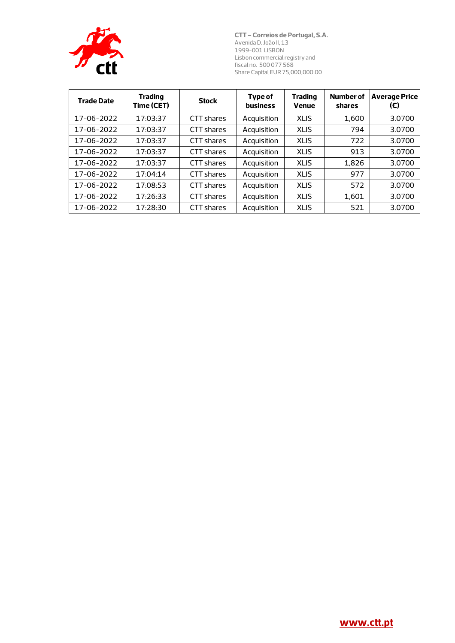

| <b>Trade Date</b> | <b>Trading</b><br>Time (CET) | <b>Stock</b>      | Type of<br><b>business</b> | <b>Trading</b><br><b>Venue</b> | <b>Number of</b><br>shares | <b>Average Price</b><br>(€) |
|-------------------|------------------------------|-------------------|----------------------------|--------------------------------|----------------------------|-----------------------------|
| 17-06-2022        | 17:03:37                     | CTT shares        | Acquisition                | <b>XLIS</b>                    | 1.600                      | 3.0700                      |
| 17-06-2022        | 17:03:37                     | CTT shares        | Acquisition                | <b>XLIS</b>                    | 794                        | 3.0700                      |
| 17-06-2022        | 17:03:37                     | CTT shares        | Acquisition                | <b>XLIS</b>                    | 722                        | 3.0700                      |
| 17-06-2022        | 17:03:37                     | CTT shares        | Acquisition                | <b>XLIS</b>                    | 913                        | 3.0700                      |
| 17-06-2022        | 17:03:37                     | CTT shares        | Acquisition                | <b>XLIS</b>                    | 1.826                      | 3.0700                      |
| 17-06-2022        | 17:04:14                     | CTT shares        | Acquisition                | <b>XLIS</b>                    | 977                        | 3.0700                      |
| 17-06-2022        | 17:08:53                     | CTT shares        | Acquisition                | <b>XLIS</b>                    | 572                        | 3.0700                      |
| 17-06-2022        | 17:26:33                     | CTT shares        | Acquisition                | <b>XLIS</b>                    | 1.601                      | 3.0700                      |
| 17-06-2022        | 17:28:30                     | <b>CTT</b> shares | Acquisition                | <b>XLIS</b>                    | 521                        | 3.0700                      |

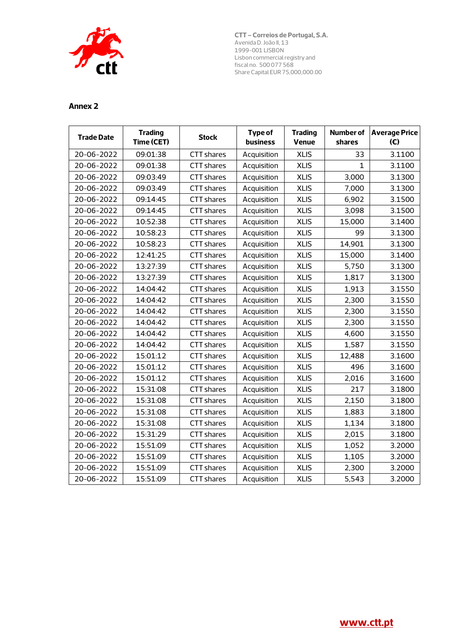

| <b>Trade Date</b> | <b>Trading</b><br>Time (CET) | <b>Stock</b>      | Type of<br>business | <b>Trading</b><br>Venue | <b>Number of</b><br>shares | <b>Average Price</b><br>(E) |
|-------------------|------------------------------|-------------------|---------------------|-------------------------|----------------------------|-----------------------------|
| 20-06-2022        | 09:01:38                     | <b>CTT</b> shares | Acquisition         | <b>XLIS</b>             | 33                         | 3.1100                      |
| 20-06-2022        | 09:01:38                     | CTT shares        | Acquisition         | <b>XLIS</b>             | $\mathbf{1}$               | 3.1100                      |
| 20-06-2022        | 09:03:49                     | <b>CTT</b> shares | Acquisition         | <b>XLIS</b>             | 3,000                      | 3.1300                      |
| 20-06-2022        | 09:03:49                     | CTT shares        | Acquisition         | <b>XLIS</b>             | 7,000                      | 3.1300                      |
| 20-06-2022        | 09:14:45                     | CTT shares        | Acquisition         | <b>XLIS</b>             | 6,902                      | 3.1500                      |
| 20-06-2022        | 09:14:45                     | CTT shares        | Acquisition         | <b>XLIS</b>             | 3,098                      | 3.1500                      |
| 20-06-2022        | 10:52:38                     | <b>CTT</b> shares | Acquisition         | <b>XLIS</b>             | 15,000                     | 3.1400                      |
| 20-06-2022        | 10:58:23                     | CTT shares        | Acquisition         | <b>XLIS</b>             | 99                         | 3.1300                      |
| 20-06-2022        | 10:58:23                     | CTT shares        | Acquisition         | <b>XLIS</b>             | 14,901                     | 3.1300                      |
| 20-06-2022        | 12:41:25                     | <b>CTT</b> shares | Acquisition         | <b>XLIS</b>             | 15,000                     | 3.1400                      |
| 20-06-2022        | 13:27:39                     | CTT shares        | Acquisition         | <b>XLIS</b>             | 5,750                      | 3.1300                      |
| 20-06-2022        | 13:27:39                     | CTT shares        | Acquisition         | <b>XLIS</b>             | 1,817                      | 3.1300                      |
| 20-06-2022        | 14:04:42                     | <b>CTT</b> shares | Acquisition         | <b>XLIS</b>             | 1,913                      | 3.1550                      |
| 20-06-2022        | 14:04:42                     | CTT shares        | Acquisition         | <b>XLIS</b>             | 2,300                      | 3.1550                      |
| 20-06-2022        | 14:04:42                     | CTT shares        | Acquisition         | <b>XLIS</b>             | 2,300                      | 3.1550                      |
| 20-06-2022        | 14:04:42                     | CTT shares        | Acquisition         | <b>XLIS</b>             | 2,300                      | 3.1550                      |
| 20-06-2022        | 14:04:42                     | CTT shares        | Acquisition         | <b>XLIS</b>             | 4,600                      | 3.1550                      |
| 20-06-2022        | 14:04:42                     | <b>CTT</b> shares | Acquisition         | <b>XLIS</b>             | 1,587                      | 3.1550                      |
| 20-06-2022        | 15:01:12                     | <b>CTT</b> shares | Acquisition         | <b>XLIS</b>             | 12,488                     | 3.1600                      |
| 20-06-2022        | 15:01:12                     | CTT shares        | Acquisition         | <b>XLIS</b>             | 496                        | 3.1600                      |
| 20-06-2022        | 15:01:12                     | CTT shares        | Acquisition         | <b>XLIS</b>             | 2,016                      | 3.1600                      |
| 20-06-2022        | 15:31:08                     | CTT shares        | Acquisition         | <b>XLIS</b>             | 217                        | 3.1800                      |
| 20-06-2022        | 15:31:08                     | <b>CTT</b> shares | Acquisition         | <b>XLIS</b>             | 2,150                      | 3.1800                      |
| 20-06-2022        | 15:31:08                     | CTT shares        | Acquisition         | <b>XLIS</b>             | 1,883                      | 3.1800                      |
| 20-06-2022        | 15:31:08                     | CTT shares        | Acquisition         | <b>XLIS</b>             | 1,134                      | 3.1800                      |
| 20-06-2022        | 15:31:29                     | CTT shares        | Acquisition         | <b>XLIS</b>             | 2,015                      | 3.1800                      |
| 20-06-2022        | 15:51:09                     | CTT shares        | Acquisition         | <b>XLIS</b>             | 1,052                      | 3.2000                      |
| 20-06-2022        | 15:51:09                     | <b>CTT</b> shares | Acquisition         | <b>XLIS</b>             | 1,105                      | 3.2000                      |
| 20-06-2022        | 15:51:09                     | <b>CTT</b> shares | Acquisition         | <b>XLIS</b>             | 2,300                      | 3.2000                      |
| 20-06-2022        | 15:51:09                     | CTT shares        | Acquisition         | <b>XLIS</b>             | 5,543                      | 3.2000                      |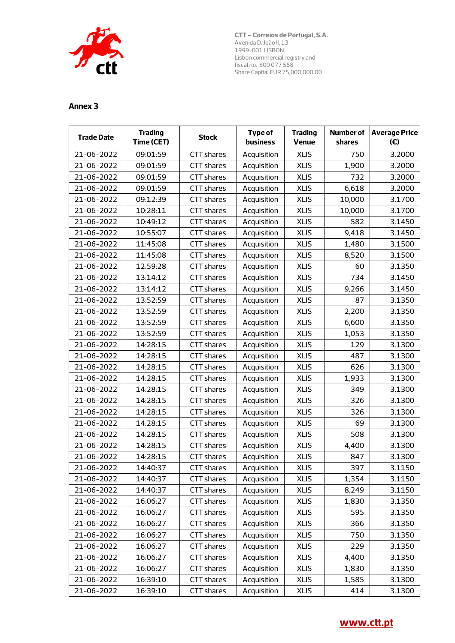

| <b>Trade Date</b> | <b>Trading</b><br>Time (CET) | <b>Stock</b>      | <b>Type of</b><br>business | <b>Trading</b><br><b>Venue</b> | Number of<br>shares | <b>Average Price</b><br>(E) |
|-------------------|------------------------------|-------------------|----------------------------|--------------------------------|---------------------|-----------------------------|
| 21-06-2022        | 09:01:59                     | <b>CTT</b> shares | Acquisition                | <b>XLIS</b>                    | 750                 | 3.2000                      |
| 21-06-2022        | 09:01:59                     | CTT shares        | Acquisition                | <b>XLIS</b>                    | 1,900               | 3.2000                      |
| 21-06-2022        | 09:01:59                     | CTT shares        | Acquisition                | <b>XLIS</b>                    | 732                 | 3.2000                      |
| 21-06-2022        | 09:01:59                     | CTT shares        | Acquisition                | <b>XLIS</b>                    | 6,618               | 3.2000                      |
| 21-06-2022        | 09:12:39                     | CTT shares        | Acquisition                | <b>XLIS</b>                    | 10,000              | 3.1700                      |
| 21-06-2022        | 10:28:11                     | CTT shares        | Acquisition                | <b>XLIS</b>                    | 10,000              | 3.1700                      |
| 21-06-2022        | 10:49:12                     | CTT shares        | Acquisition                | <b>XLIS</b>                    | 582                 | 3.1450                      |
| 21-06-2022        | 10:55:07                     | CTT shares        | Acquisition                | <b>XLIS</b>                    | 9,418               | 3.1450                      |
| 21-06-2022        | 11:45:08                     | <b>CTT</b> shares | Acquisition                | <b>XLIS</b>                    | 1,480               | 3.1500                      |
| 21-06-2022        | 11:45:08                     | CTT shares        | Acquisition                | <b>XLIS</b>                    | 8,520               | 3.1500                      |
| 21-06-2022        | 12:59:28                     | CTT shares        | Acquisition                | <b>XLIS</b>                    | 60                  | 3.1350                      |
| 21-06-2022        | 13:14:12                     | CTT shares        | Acquisition                | <b>XLIS</b>                    | 734                 | 3.1450                      |
| 21-06-2022        | 13:14:12                     | CTT shares        | Acquisition                | <b>XLIS</b>                    | 9,266               | 3.1450                      |
| 21-06-2022        | 13:52:59                     | <b>CTT</b> shares | Acquisition                | <b>XLIS</b>                    | 87                  | 3.1350                      |
| 21-06-2022        | 13:52:59                     | CTT shares        | Acquisition                | <b>XLIS</b>                    | 2,200               | 3.1350                      |
| 21-06-2022        | 13:52:59                     | CTT shares        | Acquisition                | <b>XLIS</b>                    | 6,600               | 3.1350                      |
| 21-06-2022        | 13:52:59                     | CTT shares        | Acquisition                | <b>XLIS</b>                    | 1,053               | 3.1350                      |
| 21-06-2022        | 14:28:15                     | CTT shares        | Acquisition                | <b>XLIS</b>                    | 129                 | 3.1300                      |
| 21-06-2022        | 14:28:15                     | CTT shares        | Acquisition                | <b>XLIS</b>                    | 487                 | 3.1300                      |
| 21-06-2022        | 14:28:15                     | <b>CTT</b> shares | Acquisition                | <b>XLIS</b>                    | 626                 | 3.1300                      |
| 21-06-2022        | 14:28:15                     | <b>CTT</b> shares | Acquisition                | <b>XLIS</b>                    | 1,933               | 3.1300                      |
| 21-06-2022        | 14:28:15                     | CTT shares        | Acquisition                | <b>XLIS</b>                    | 349                 | 3.1300                      |
| 21-06-2022        | 14:28:15                     | CTT shares        | Acquisition                | <b>XLIS</b>                    | 326                 | 3.1300                      |
| 21-06-2022        | 14:28:15                     | CTT shares        | Acquisition                | <b>XLIS</b>                    | 326                 | 3.1300                      |
| 21-06-2022        | 14:28:15                     | CTT shares        | Acquisition                | <b>XLIS</b>                    | 69                  | 3.1300                      |
| 21-06-2022        | 14:28:15                     | <b>CTT</b> shares | Acquisition                | <b>XLIS</b>                    | 508                 | 3.1300                      |
| 21-06-2022        | 14:28:15                     | <b>CTT</b> shares | Acquisition                | <b>XLIS</b>                    | 4,400               | 3.1300                      |
| 21-06-2022        | 14:28:15                     | CTT shares        | Acquisition                | <b>XLIS</b>                    | 847                 | 3.1300                      |
| 21-06-2022        | 14:40:37                     | CTT shares        | Acquisition                | <b>XLIS</b>                    | 397                 | 3.1150                      |
| 21-06-2022        | 14:40:37                     | CTT shares        | Acquisition                | <b>XLIS</b>                    | 1,354               | 3.1150                      |
| 21-06-2022        | 14:40:37                     | CTT shares        | Acquisition                | <b>XLIS</b>                    | 8,249               | 3.1150                      |
| 21-06-2022        | 16:06:27                     | CTT shares        | Acquisition                | <b>XLIS</b>                    | 1,830               | 3.1350                      |
| 21-06-2022        | 16:06:27                     | CTT shares        | Acquisition                | <b>XLIS</b>                    | 595                 | 3.1350                      |
| 21-06-2022        | 16:06:27                     | CTT shares        | Acquisition                | <b>XLIS</b>                    | 366                 | 3.1350                      |
| 21-06-2022        | 16:06:27                     | CTT shares        | Acquisition                | <b>XLIS</b>                    | 750                 | 3.1350                      |
| 21-06-2022        | 16:06:27                     | CTT shares        | Acquisition                | <b>XLIS</b>                    | 229                 | 3.1350                      |
| 21-06-2022        | 16:06:27                     | CTT shares        | Acquisition                | <b>XLIS</b>                    | 4,400               | 3.1350                      |
| 21-06-2022        | 16:06:27                     | CTT shares        | Acquisition                | <b>XLIS</b>                    | 1,830               | 3.1350                      |
| 21-06-2022        | 16:39:10                     | CTT shares        | Acquisition                | <b>XLIS</b>                    | 1,585               | 3.1300                      |
| 21-06-2022        | 16:39:10                     | CTT shares        | Acquisition                | <b>XLIS</b>                    | 414                 | 3.1300                      |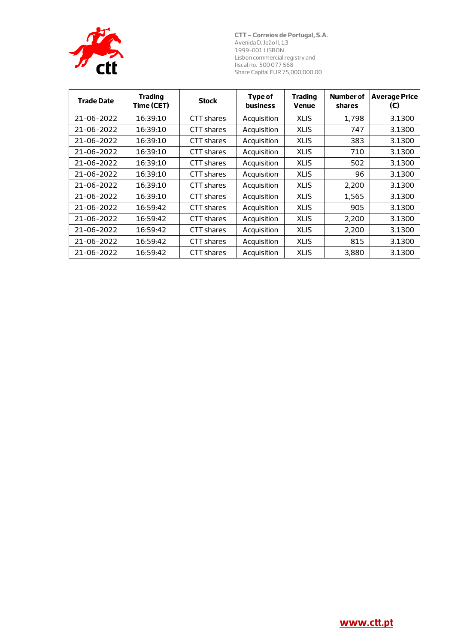

| <b>Trade Date</b> | <b>Trading</b><br>Time (CET) | <b>Stock</b>      | Type of<br>business | <b>Trading</b><br><b>Venue</b> | Number of<br>shares | <b>Average Price</b><br>(€) |
|-------------------|------------------------------|-------------------|---------------------|--------------------------------|---------------------|-----------------------------|
| 21-06-2022        | 16:39:10                     | CTT shares        | Acquisition         | <b>XLIS</b>                    | 1,798               | 3.1300                      |
| 21-06-2022        | 16:39:10                     | CTT shares        | Acquisition         | <b>XLIS</b>                    | 747                 | 3.1300                      |
| 21-06-2022        | 16:39:10                     | CTT shares        | Acquisition         | <b>XLIS</b>                    | 383                 | 3.1300                      |
| 21-06-2022        | 16:39:10                     | CTT shares        | Acquisition         | <b>XLIS</b>                    | 710                 | 3.1300                      |
| 21-06-2022        | 16:39:10                     | CTT shares        | Acquisition         | <b>XLIS</b>                    | 502                 | 3.1300                      |
| 21-06-2022        | 16:39:10                     | CTT shares        | Acquisition         | <b>XLIS</b>                    | 96                  | 3.1300                      |
| 21-06-2022        | 16:39:10                     | CTT shares        | Acquisition         | <b>XLIS</b>                    | 2,200               | 3.1300                      |
| 21-06-2022        | 16:39:10                     | CTT shares        | Acquisition         | <b>XLIS</b>                    | 1,565               | 3.1300                      |
| 21-06-2022        | 16:59:42                     | CTT shares        | Acquisition         | <b>XLIS</b>                    | 905                 | 3.1300                      |
| 21-06-2022        | 16:59:42                     | CTT shares        | Acquisition         | <b>XLIS</b>                    | 2,200               | 3.1300                      |
| 21-06-2022        | 16:59:42                     | <b>CTT</b> shares | Acquisition         | <b>XLIS</b>                    | 2,200               | 3.1300                      |
| 21-06-2022        | 16:59:42                     | CTT shares        | Acquisition         | <b>XLIS</b>                    | 815                 | 3.1300                      |
| 21-06-2022        | 16:59:42                     | CTT shares        | Acquisition         | <b>XLIS</b>                    | 3,880               | 3.1300                      |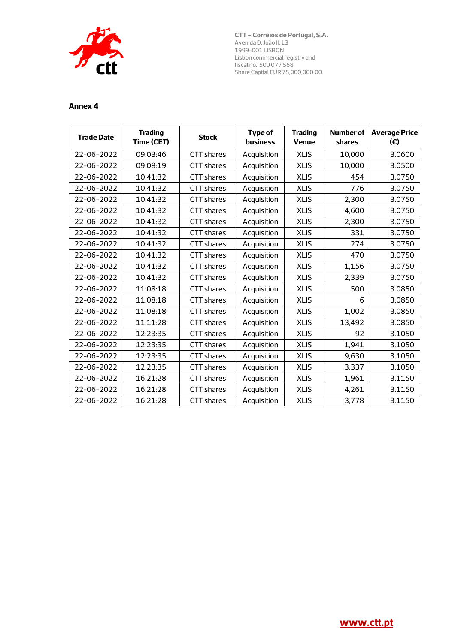

| <b>Trade Date</b> | <b>Trading</b><br>Time (CET) | <b>Stock</b>      | <b>Type of</b><br><b>business</b> | <b>Trading</b><br><b>Venue</b> | <b>Number of</b><br>shares | <b>Average Price</b><br>(E) |
|-------------------|------------------------------|-------------------|-----------------------------------|--------------------------------|----------------------------|-----------------------------|
| 22-06-2022        | 09:03:46                     | <b>CTT</b> shares | Acquisition                       | <b>XLIS</b>                    | 10,000                     | 3.0600                      |
| 22-06-2022        | 09:08:19                     | <b>CTT</b> shares | Acquisition                       | <b>XLIS</b>                    | 10,000                     | 3.0500                      |
| 22-06-2022        | 10:41:32                     | CTT shares        | Acquisition                       | <b>XLIS</b>                    | 454                        | 3.0750                      |
| 22-06-2022        | 10:41:32                     | <b>CTT</b> shares | Acquisition                       | <b>XLIS</b>                    | 776                        | 3.0750                      |
| 22-06-2022        | 10:41:32                     | <b>CTT shares</b> | Acquisition                       | <b>XLIS</b>                    | 2,300                      | 3.0750                      |
| 22-06-2022        | 10:41:32                     | CTT shares        | Acquisition                       | <b>XLIS</b>                    | 4,600                      | 3.0750                      |
| 22-06-2022        | 10:41:32                     | <b>CTT shares</b> | Acquisition                       | <b>XLIS</b>                    | 2,300                      | 3.0750                      |
| 22-06-2022        | 10:41:32                     | <b>CTT</b> shares | Acquisition                       | <b>XLIS</b>                    | 331                        | 3.0750                      |
| 22-06-2022        | 10:41:32                     | <b>CTT shares</b> | Acquisition                       | <b>XLIS</b>                    | 274                        | 3.0750                      |
| 22-06-2022        | 10:41:32                     | <b>CTT shares</b> | Acquisition                       | <b>XLIS</b>                    | 470                        | 3.0750                      |
| 22-06-2022        | 10:41:32                     | <b>CTT</b> shares | Acquisition                       | <b>XLIS</b>                    | 1,156                      | 3.0750                      |
| 22-06-2022        | 10:41:32                     | <b>CTT</b> shares | Acquisition                       | <b>XLIS</b>                    | 2,339                      | 3.0750                      |
| 22-06-2022        | 11:08:18                     | <b>CTT</b> shares | Acquisition                       | <b>XLIS</b>                    | 500                        | 3.0850                      |
| 22-06-2022        | 11:08:18                     | <b>CTT</b> shares | Acquisition                       | <b>XLIS</b>                    | 6                          | 3.0850                      |
| 22-06-2022        | 11:08:18                     | <b>CTT shares</b> | Acquisition                       | <b>XLIS</b>                    | 1,002                      | 3.0850                      |
| 22-06-2022        | 11:11:28                     | <b>CTT</b> shares | Acquisition                       | <b>XLIS</b>                    | 13,492                     | 3.0850                      |
| 22-06-2022        | 12:23:35                     | <b>CTT shares</b> | Acquisition                       | <b>XLIS</b>                    | 92                         | 3.1050                      |
| 22-06-2022        | 12:23:35                     | <b>CTT</b> shares | Acquisition                       | <b>XLIS</b>                    | 1,941                      | 3.1050                      |
| 22-06-2022        | 12:23:35                     | CTT shares        | Acquisition                       | <b>XLIS</b>                    | 9.630                      | 3.1050                      |
| 22-06-2022        | 12:23:35                     | CTT shares        | Acquisition                       | <b>XLIS</b>                    | 3,337                      | 3.1050                      |
| 22-06-2022        | 16:21:28                     | <b>CTT</b> shares | Acquisition                       | <b>XLIS</b>                    | 1,961                      | 3.1150                      |
| 22-06-2022        | 16:21:28                     | <b>CTT</b> shares | Acquisition                       | <b>XLIS</b>                    | 4,261                      | 3.1150                      |
| 22-06-2022        | 16:21:28                     | CTT shares        | Acquisition                       | <b>XLIS</b>                    | 3,778                      | 3.1150                      |